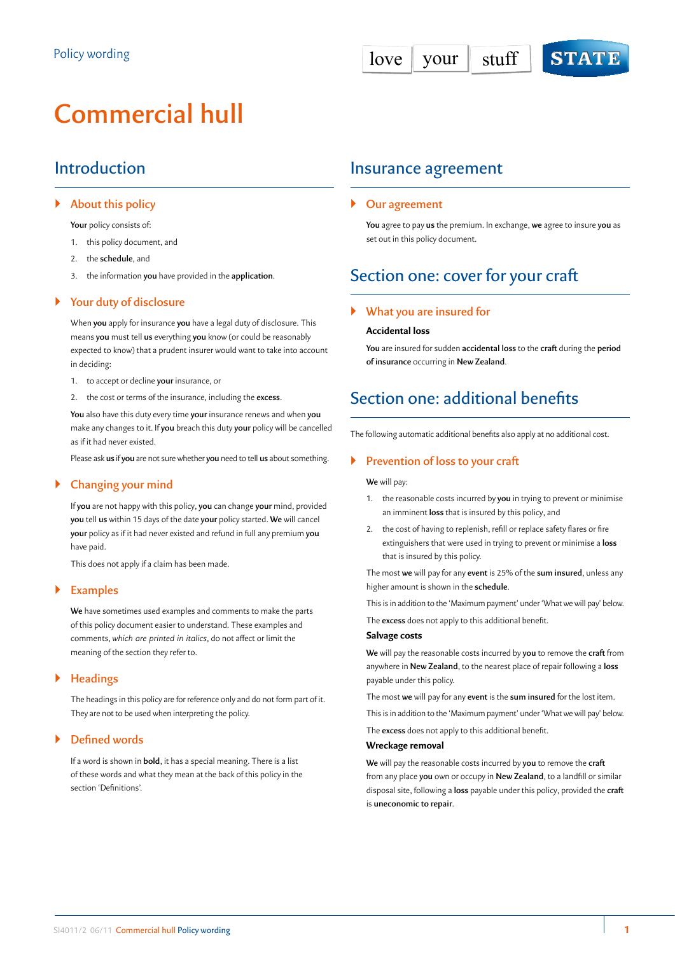# **Commercial hull**

# Introduction

# ` **About this policy**

**Your** policy consists of:

- 1. this policy document, and
- 2. the **schedule**, and
- 3. the information **you** have provided in the **application**.

# ` **Your duty of disclosure**

When **you** apply for insurance **you** have a legal duty of disclosure. This means **you** must tell **us** everything **you** know (or could be reasonably expected to know) that a prudent insurer would want to take into account in deciding:

- 1. to accept or decline **your** insurance, or
- 2. the cost or terms of the insurance, including the **excess**.

**You** also have this duty every time **your** insurance renews and when **you** make any changes to it. If **you** breach this duty **your** policy will be cancelled as if it had never existed.

Please ask **us** if **you** are not sure whether **you** need to tell **us** about something.

# ` **Changing your mind**

If **you** are not happy with this policy, **you** can change **your** mind, provided **you** tell **us** within 15 days of the date **your** policy started. **We** will cancel **your** policy as if it had never existed and refund in full any premium **you** have paid.

This does not apply if a claim has been made.

# ` **Examples**

**We** have sometimes used examples and comments to make the parts of this policy document easier to understand. These examples and comments, *which are printed in italics*, do not affect or limit the meaning of the section they refer to.

# ` **Headings**

The headings in this policy are for reference only and do not form part of it. They are not to be used when interpreting the policy.

# ` **Defined words**

If a word is shown in **bold**, it has a special meaning. There is a list of these words and what they mean at the back of this policy in the section 'Definitions'.

# Insurance agreement

# ` **Our agreement**

**You** agree to pay **us** the premium. In exchange, **we** agree to insure **you** as set out in this policy document.

# Section one: cover for your craft

# ` **What you are insured for**

#### **Accidental loss**

**You** are insured for sudden **accidental loss** to the **craft** during the **period of insurance** occurring in **New Zealand**.

# Section one: additional benefits

The following automatic additional benefits also apply at no additional cost.

### ` **Prevention of loss to your craft**

#### **We** will pay:

- 1. the reasonable costs incurred by **you** in trying to prevent or minimise an imminent **loss** that is insured by this policy, and
- 2. the cost of having to replenish, refill or replace safety flares or fire extinguishers that were used in trying to prevent or minimise a **loss** that is insured by this policy.

The most **we** will pay for any **event** is 25% of the **sum insured**, unless any higher amount is shown in the **schedule**.

This is in addition to the 'Maximum payment' under 'What we will pay' below.

The **excess** does not apply to this additional benefit.

#### **Salvage costs**

**We** will pay the reasonable costs incurred by **you** to remove the **craft** from anywhere in **New Zealand**, to the nearest place of repair following a **loss** payable under this policy.

The most **we** will pay for any **event** is the **sum insured** for the lost item.

This is in addition to the 'Maximum payment' under 'What we will pay' below.

The **excess** does not apply to this additional benefit.

#### **Wreckage removal**

**We** will pay the reasonable costs incurred by **you** to remove the **craft** from any place **you** own or occupy in **New Zealand**, to a landfill or similar disposal site, following a **loss** payable under this policy, provided the **craft** is **uneconomic to repair**.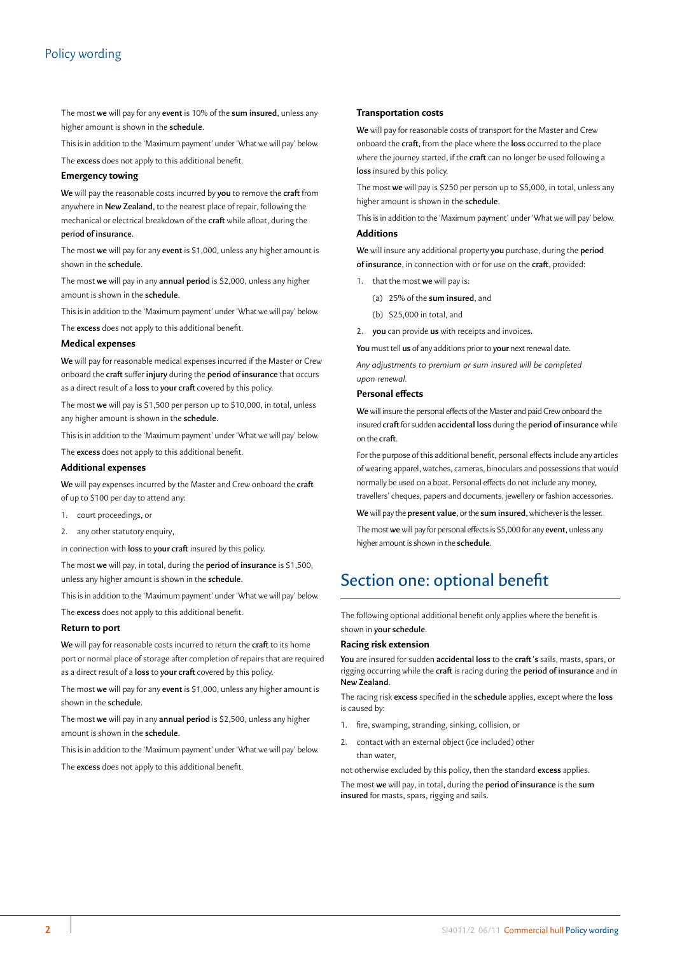# Policy wording

The most **we** will pay for any **event** is 10% of the **sum insured**, unless any higher amount is shown in the **schedule**.

This is in addition to the 'Maximum payment' under 'What we will pay' below.

The **excess** does not apply to this additional benefit.

#### **Emergency towing**

**We** will pay the reasonable costs incurred by **you** to remove the **craft** from anywhere in **New Zealand**, to the nearest place of repair, following the mechanical or electrical breakdown of the **craft** while afloat, during the **period of insurance**.

The most **we** will pay for any **event** is \$1,000, unless any higher amount is shown in the **schedule**.

The most **we** will pay in any **annual period** is \$2,000, unless any higher amount is shown in the **schedule**.

This is in addition to the 'Maximum payment' under 'What we will pay' below.

The **excess** does not apply to this additional benefit.

#### **Medical expenses**

**We** will pay for reasonable medical expenses incurred if the Master or Crew onboard the **craft** suffer **injury** during the **period of insurance** that occurs as a direct result of a **loss** to **your craft** covered by this policy.

The most **we** will pay is \$1,500 per person up to \$10,000, in total, unless any higher amount is shown in the **schedule**.

This is in addition to the 'Maximum payment' under 'What we will pay' below.

The **excess** does not apply to this additional benefit.

### **Additional expenses**

**We** will pay expenses incurred by the Master and Crew onboard the **craft** of up to \$100 per day to attend any:

1. court proceedings, or

2. any other statutory enquiry,

in connection with **loss** to **your craft** insured by this policy.

The most **we** will pay, in total, during the **period of insurance** is \$1,500, unless any higher amount is shown in the **schedule**.

This is in addition to the 'Maximum payment' under 'What we will pay' below.

The **excess** does not apply to this additional benefit.

#### **Return to port**

**We** will pay for reasonable costs incurred to return the **craft** to its home port or normal place of storage after completion of repairs that are required as a direct result of a **loss** to **your craft** covered by this policy.

The most **we** will pay for any **event** is \$1,000, unless any higher amount is shown in the **schedule**.

The most **we** will pay in any **annual period** is \$2,500, unless any higher amount is shown in the **schedule**.

This is in addition to the 'Maximum payment' under 'What we will pay' below.

The **excess** does not apply to this additional benefit.

#### **Transportation costs**

**We** will pay for reasonable costs of transport for the Master and Crew onboard the **craft**, from the place where the **loss** occurred to the place where the journey started, if the **craft** can no longer be used following a **loss** insured by this policy.

The most **we** will pay is \$250 per person up to \$5,000, in total, unless any higher amount is shown in the **schedule**.

This is in addition to the 'Maximum payment' under 'What we will pay' below. **Additions**

**We** will insure any additional property **you** purchase, during the **period of insurance**, in connection with or for use on the **craft**, provided:

- 1. that the most **we** will pay is:
	- (a) 25% of the **sum insured**, and
	- (b) \$25,000 in total, and
- 2. **you** can provide **us** with receipts and invoices.

**You** must tell **us** of any additions prior to **your** next renewal date.

*Any adjustments to premium or sum insured will be completed upon renewal.*

#### **Personal effects**

**We** will insure the personal effects of the Master and paid Crew onboard the insured **craft** for sudden **accidental loss** during the **period of insurance** while on the **craft**.

For the purpose of this additional benefit, personal effects include any articles of wearing apparel, watches, cameras, binoculars and possessions that would normally be used on a boat. Personal effects do not include any money, travellers' cheques, papers and documents, jewellery or fashion accessories.

**We** will pay the **present value**, or the **sum insured**, whichever is the lesser.

The most **we** will pay for personal effects is \$5,000 for any **event**, unless any higher amount is shown in the **schedule**.

# Section one: optional benefit

The following optional additional benefit only applies where the benefit is shown in **your schedule**.

#### **Racing risk extension**

**You** are insured for sudden **accidental loss** to the **craft 's** sails, masts, spars, or rigging occurring while the **craft** is racing during the **period of insurance** and in **New Zealand**.

The racing risk **excess** specified in the **schedule** applies, except where the **loss** is caused by:

- 1. fire, swamping, stranding, sinking, collision, or
- 2. contact with an external object (ice included) other than water,

not otherwise excluded by this policy, then the standard **excess** applies. The most **we** will pay, in total, during the **period of insurance** is the **sum insured** for masts, spars, rigging and sails.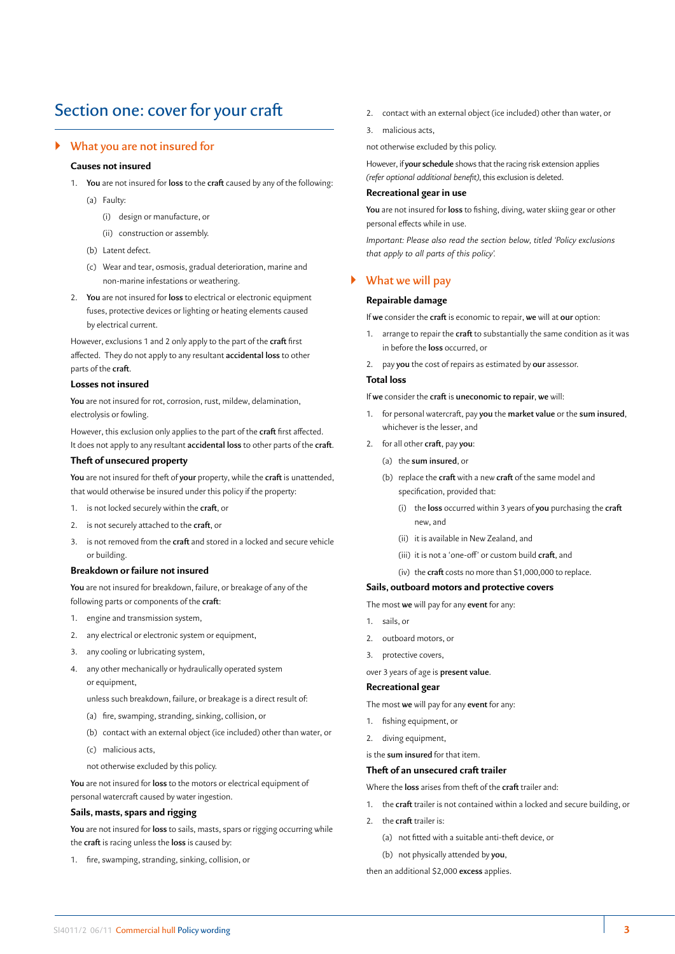# Section one: cover for your craft

#### ` **What you are not insured for**

#### **Causes not insured**

- 1. **You** are not insured for **loss** to the **craft** caused by any of the following:
	- (a) Faulty:
		- (i) design or manufacture, or
		- (ii) construction or assembly.
	- (b) Latent defect.
	- (c) Wear and tear, osmosis, gradual deterioration, marine and non‑marine infestations or weathering.
- 2. **You** are not insured for **loss** to electrical or electronic equipment fuses, protective devices or lighting or heating elements caused by electrical current.

However, exclusions 1 and 2 only apply to the part of the **craft** first affected. They do not apply to any resultant **accidental loss** to other parts of the **craft**.

#### **Losses not insured**

**You** are not insured for rot, corrosion, rust, mildew, delamination, electrolysis or fowling.

However, this exclusion only applies to the part of the **craft** first affected. It does not apply to any resultant **accidental loss** to other parts of the **craft**.

#### **Theft of unsecured property**

**You** are not insured for theft of **your** property, while the **craft** is unattended, that would otherwise be insured under this policy if the property:

- 1. is not locked securely within the **craft**, or
- 2. is not securely attached to the **craft**, or
- 3. is not removed from the **craft** and stored in a locked and secure vehicle or building.

# **Breakdown or failure not insured**

**You** are not insured for breakdown, failure, or breakage of any of the following parts or components of the **craft**:

- 1. engine and transmission system,
- 2. any electrical or electronic system or equipment,
- 3. any cooling or lubricating system,
- 4. any other mechanically or hydraulically operated system or equipment,
	- unless such breakdown, failure, or breakage is a direct result of:
	- (a) fire, swamping, stranding, sinking, collision, or
	- (b) contact with an external object (ice included) other than water, or
	- (c) malicious acts,
	- not otherwise excluded by this policy.

**You** are not insured for **loss** to the motors or electrical equipment of personal watercraft caused by water ingestion.

#### **Sails, masts, spars and rigging**

**You** are not insured for **loss** to sails, masts, spars or rigging occurring while the **craft** is racing unless the **loss** is caused by:

1. fire, swamping, stranding, sinking, collision, or

- 2. contact with an external object (ice included) other than water, or
- 3. malicious acts,

not otherwise excluded by this policy.

However, if **your schedule** shows that the racing risk extension applies *(refer optional additional benefit)*, this exclusion is deleted.

### **Recreational gear in use**

**You** are not insured for **loss** to fishing, diving, water skiing gear or other personal effects while in use.

*Important: Please also read the section below, titled 'Policy exclusions that apply to all parts of this policy'.* 

#### ` **What we will pay**

#### **Repairable damage**

If **we** consider the **craft** is economic to repair, **we** will at **our** option:

- 1. arrange to repair the **craft** to substantially the same condition as it was in before the **loss** occurred, or
- 2. pay **you** the cost of repairs as estimated by **our** assessor.

#### **Total loss**

If **we** consider the **craft** is **uneconomic to repair**, **we** will:

- 1. for personal watercraft, pay **you** the **market value** or the **sum insured**, whichever is the lesser, and
- 2. for all other **craft**, pay **you**:
	- (a) the **sum insured**, or
	- (b) replace the **craft** with a new **craft** of the same model and specification, provided that:
		- (i) the **loss** occurred within 3 years of **you** purchasing the **craft** new, and
		- (ii) it is available in New Zealand, and
		- (iii) it is not a 'one-off' or custom build **craft**, and
		- (iv) the **craft** costs no more than \$1,000,000 to replace.

#### **Sails, outboard motors and protective covers**

The most **we** will pay for any **event** for any:

- 1. sails, or
- 2. outboard motors, or
- 3. protective covers,

over 3 years of age is **present value**.

#### **Recreational gear**

The most **we** will pay for any **event** for any:

- 1. fishing equipment, or
- 2. diving equipment,
- is the **sum insured** for that item.

# **Theft of an unsecured craft trailer**

Where the **loss** arises from theft of the **craft** trailer and:

- 1. the **craft** trailer is not contained within a locked and secure building, or
- 2. the **craft** trailer is:
	- (a) not fitted with a suitable anti-theft device, or
	- (b) not physically attended by **you**,

then an additional \$2,000 **excess** applies.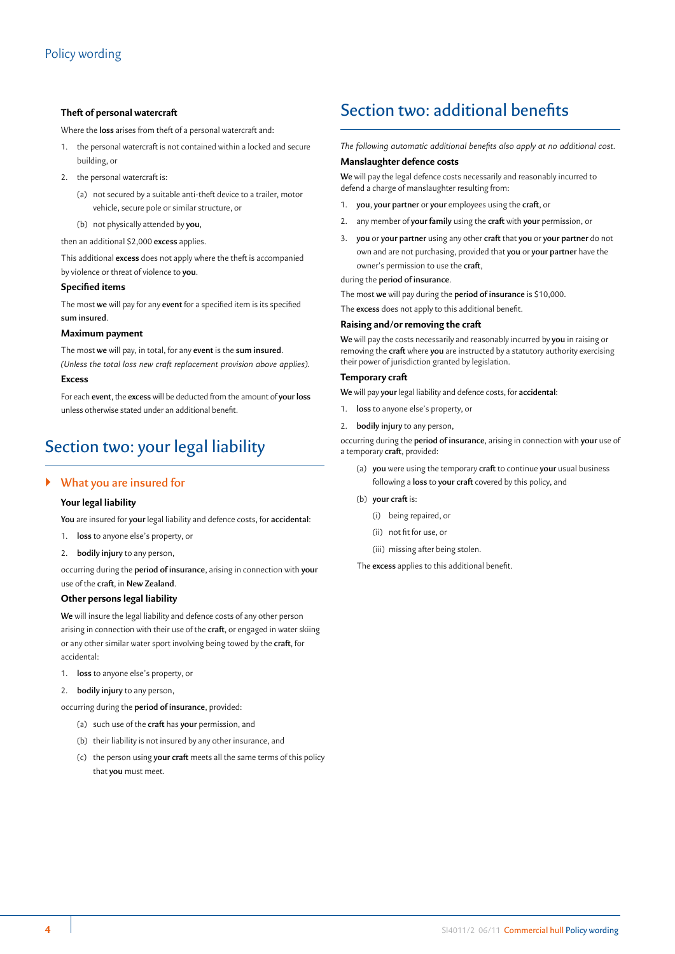### **Theft of personal watercraft**

Where the **loss** arises from theft of a personal watercraft and:

- 1. the personal watercraft is not contained within a locked and secure building, or
- 2. the personal watercraft is:
	- (a) not secured by a suitable anti-theft device to a trailer, motor vehicle, secure pole or similar structure, or
	- (b) not physically attended by **you**,

then an additional \$2,000 **excess** applies.

This additional **excess** does not apply where the theft is accompanied by violence or threat of violence to **you**.

#### **Specified items**

The most **we** will pay for any **event** for a specified item is its specified **sum insured**.

#### **Maximum payment**

The most **we** will pay, in total, for any **event** is the **sum insured**. *(Unless the total loss new craft replacement provision above applies).*

#### **Excess**

For each **event**, the **excess** will be deducted from the amount of **your loss** unless otherwise stated under an additional benefit.

# Section two: your legal liability

# ` **What you are insured for**

#### **Your legal liability**

**You** are insured for **your** legal liability and defence costs, for **accidental**:

- 1. **loss** to anyone else's property, or
- 2. **bodily injury** to any person,

occurring during the **period of insurance**, arising in connection with **your** use of the **craft**, in **New Zealand**.

#### **Other persons legal liability**

**We** will insure the legal liability and defence costs of any other person arising in connection with their use of the **craft**, or engaged in water skiing or any other similar water sport involving being towed by the **craft**, for accidental:

- 1. **loss** to anyone else's property, or
- 2. **bodily injury** to any person,

occurring during the **period of insurance**, provided:

- (a) such use of the **craft** has **your** permission, and
- (b) their liability is not insured by any other insurance, and
- (c) the person using **your craft** meets all the same terms of this policy that **you** must meet.

# Section two: additional benefits

*The following automatic additional benefits also apply at no additional cost.*

#### **Manslaughter defence costs**

**We** will pay the legal defence costs necessarily and reasonably incurred to defend a charge of manslaughter resulting from:

- 1. **you**, **your partner** or **your** employees using the **craft**, or
- 2. any member of **your family** using the **craft** with **your** permission, or
- 3. **you** or **your partner** using any other **craft** that **you** or **your partner** do not own and are not purchasing, provided that **you** or **your partner** have the owner's permission to use the **craft**,

during the **period of insurance**.

The most **we** will pay during the **period of insurance** is \$10,000.

The **excess** does not apply to this additional benefit.

#### **Raising and/or removing the craft**

**We** will pay the costs necessarily and reasonably incurred by **you** in raising or removing the **craft** where **you** are instructed by a statutory authority exercising their power of jurisdiction granted by legislation.

#### **Temporary craft**

**We** will pay **your** legal liability and defence costs, for **accidental**:

- 1. **loss** to anyone else's property, or
- 2. **bodily injury** to any person,

occurring during the **period of insurance**, arising in connection with **your** use of a temporary **craft**, provided:

- (a) **you** were using the temporary **craft** to continue **your** usual business following a **loss** to **your craft** covered by this policy, and
- (b) **your craft** is:
	- (i) being repaired, or
	- (ii) not fit for use, or
	- (iii) missing after being stolen.

The **excess** applies to this additional benefit.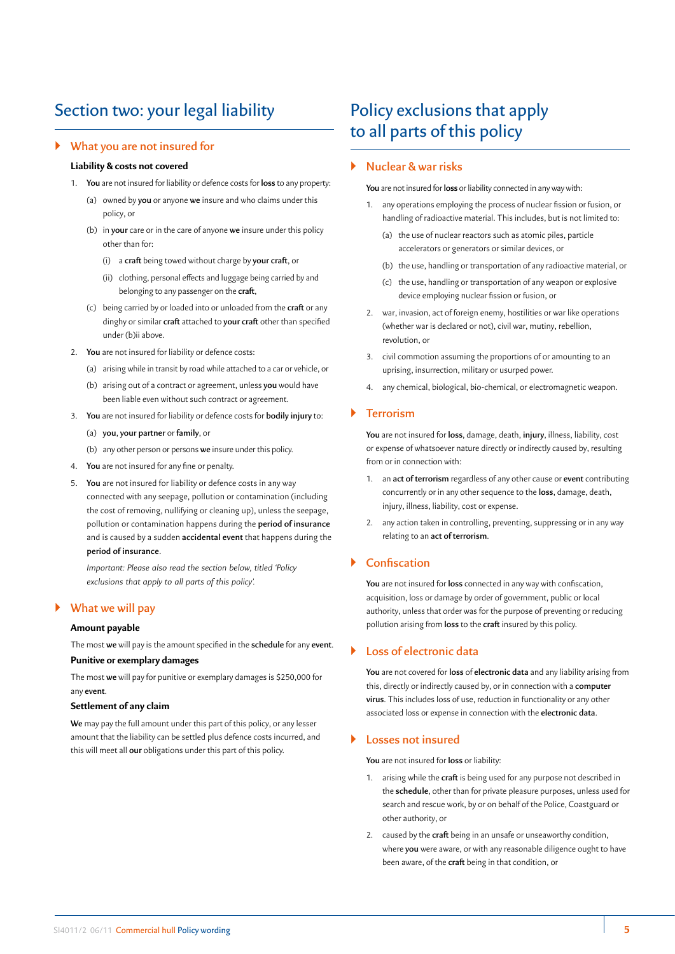# Section two: your legal liability

#### ` **What you are not insured for**

### **Liability & costs not covered**

- 1. **You** are not insured for liability or defence costs for **loss** to any property:
	- (a) owned by **you** or anyone **we** insure and who claims under this policy, or
	- (b) in **your** care or in the care of anyone **we** insure under this policy other than for:
		- (i) a **craft** being towed without charge by **your craft**, or
		- (ii) clothing, personal effects and luggage being carried by and belonging to any passenger on the **craft**,
	- (c) being carried by or loaded into or unloaded from the **craft** or any dinghy or similar **craft** attached to **your craft** other than specified under (b)ii above.
- 2. **You** are not insured for liability or defence costs:
	- (a) arising while in transit by road while attached to a car or vehicle, or
	- (b) arising out of a contract or agreement, unless **you** would have been liable even without such contract or agreement.
- 3. **You** are not insured for liability or defence costs for **bodily injury** to:
	- (a) **you**, **your partner** or **family**, or
	- (b) any other person or persons **we** insure under this policy.
- 4. **You** are not insured for any fine or penalty.
- 5. **You** are not insured for liability or defence costs in any way connected with any seepage, pollution or contamination (including the cost of removing, nullifying or cleaning up), unless the seepage, pollution or contamination happens during the **period of insurance** and is caused by a sudden **accidental event** that happens during the **period of insurance**.

*Important: Please also read the section below, titled 'Policy exclusions that apply to all parts of this policy'.*

### ` **What we will pay**

#### **Amount payable**

The most **we** will pay is the amount specified in the **schedule** for any **event**. **Punitive or exemplary damages**

The most **we** will pay for punitive or exemplary damages is \$250,000 for any **event**.

#### **Settlement of any claim**

**We** may pay the full amount under this part of this policy, or any lesser amount that the liability can be settled plus defence costs incurred, and this will meet all **our** obligations under this part of this policy.

# Policy exclusions that apply to all parts of this policy

# ` **Nuclear & war risks**

**You** are not insured for **loss** or liability connected in any way with:

- 1. any operations employing the process of nuclear fission or fusion, or handling of radioactive material. This includes, but is not limited to:
	- (a) the use of nuclear reactors such as atomic piles, particle accelerators or generators or similar devices, or
	- (b) the use, handling or transportation of any radioactive material, or
	- (c) the use, handling or transportation of any weapon or explosive device employing nuclear fission or fusion, or
- 2. war, invasion, act of foreign enemy, hostilities or war like operations (whether war is declared or not), civil war, mutiny, rebellion, revolution, or
- 3. civil commotion assuming the proportions of or amounting to an uprising, insurrection, military or usurped power.
- 4. any chemical, biological, bio-chemical, or electromagnetic weapon.

# ` **Terrorism**

**You** are not insured for **loss**, damage, death, **injury**, illness, liability, cost or expense of whatsoever nature directly or indirectly caused by, resulting from or in connection with:

- 1. an **act of terrorism** regardless of any other cause or **event** contributing concurrently or in any other sequence to the **loss**, damage, death, injury, illness, liability, cost or expense.
- 2. any action taken in controlling, preventing, suppressing or in any way relating to an **act of terrorism**.

# ` **Confiscation**

**You** are not insured for **loss** connected in any way with confiscation, acquisition, loss or damage by order of government, public or local authority, unless that order was for the purpose of preventing or reducing pollution arising from **loss** to the **craft** insured by this policy.

### ` **Loss of electronic data**

**You** are not covered for **loss** of **electronic data** and any liability arising from this, directly or indirectly caused by, or in connection with a **computer virus**. This includes loss of use, reduction in functionality or any other associated loss or expense in connection with the **electronic data**.

#### ` **Losses not insured**

**You** are not insured for **loss** or liability:

- 1. arising while the **craft** is being used for any purpose not described in the **schedule**, other than for private pleasure purposes, unless used for search and rescue work, by or on behalf of the Police, Coastguard or other authority, or
- 2. caused by the **craft** being in an unsafe or unseaworthy condition, where **you** were aware, or with any reasonable diligence ought to have been aware, of the **craft** being in that condition, or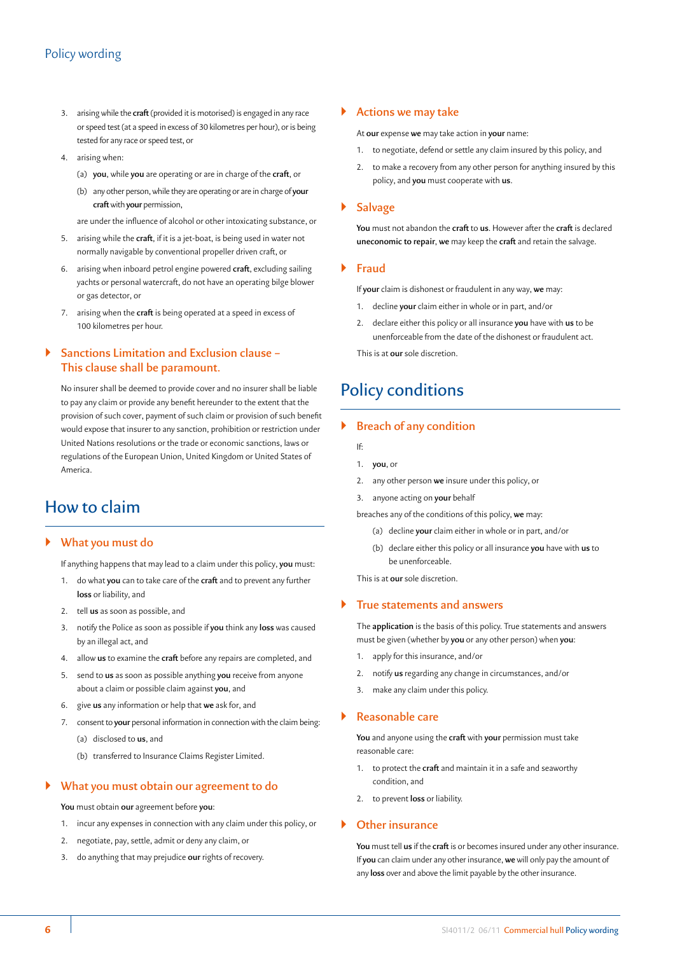- 3. arising while the **craft** (provided it is motorised) is engaged in any race or speed test (at a speed in excess of 30 kilometres per hour), or is being tested for any race or speed test, or
- 4. arising when:
	- (a) **you**, while **you** are operating or are in charge of the **craft**, or
	- (b) any other person, while they are operating or are in charge of **your craft** with **your** permission,

are under the influence of alcohol or other intoxicating substance, or

- 5. arising while the **craft**, if it is a jet-boat, is being used in water not normally navigable by conventional propeller driven craft, or
- 6. arising when inboard petrol engine powered **craft**, excluding sailing yachts or personal watercraft, do not have an operating bilge blower or gas detector, or
- 7. arising when the **craft** is being operated at a speed in excess of 100 kilometres per hour.

# ` **Sanctions Limitation and Exclusion clause – This clause shall be paramount.**

No insurer shall be deemed to provide cover and no insurer shall be liable to pay any claim or provide any benefit hereunder to the extent that the provision of such cover, payment of such claim or provision of such benefit would expose that insurer to any sanction, prohibition or restriction under United Nations resolutions or the trade or economic sanctions, laws or regulations of the European Union, United Kingdom or United States of America.

# How to claim

# ` **What you must do**

If anything happens that may lead to a claim under this policy, **you** must:

- 1. do what **you** can to take care of the **craft** and to prevent any further **loss** or liability, and
- 2. tell **us** as soon as possible, and
- 3. notify the Police as soon as possible if **you** think any **loss** was caused by an illegal act, and
- 4. allow **us** to examine the **craft** before any repairs are completed, and
- 5. send to **us** as soon as possible anything **you** receive from anyone about a claim or possible claim against **you**, and
- 6. give **us** any information or help that **we** ask for, and
- 7. consent to **your** personal information in connection with the claim being:
	- (a) disclosed to **us**, and
	- (b) transferred to Insurance Claims Register Limited.

# ` **What you must obtain our agreement to do**

**You** must obtain **our** agreement before **you**:

- 1. incur any expenses in connection with any claim under this policy, or
- 2. negotiate, pay, settle, admit or deny any claim, or
- 3. do anything that may prejudice **our** rights of recovery.

#### ` **Actions we may take**

At **our** expense **we** may take action in **your** name:

- 1. to negotiate, defend or settle any claim insured by this policy, and
- 2. to make a recovery from any other person for anything insured by this policy, and **you** must cooperate with **us**.

#### ` **Salvage**

**You** must not abandon the **craft** to **us**. However after the **craft** is declared **uneconomic to repair**, **we** may keep the **craft** and retain the salvage.

#### ` **Fraud**

If **your** claim is dishonest or fraudulent in any way, **we** may:

- 1. decline **your** claim either in whole or in part, and/or
- 2. declare either this policy or all insurance **you** have with **us** to be unenforceable from the date of the dishonest or fraudulent act.

This is at **our** sole discretion.

# Policy conditions

# ` **Breach of any condition**

- If:
- 1. **you**, or
- 2. any other person **we** insure under this policy, or
- 3. anyone acting on **your** behalf
- breaches any of the conditions of this policy, **we** may:
	- (a) decline **your** claim either in whole or in part, and/or
	- (b) declare either this policy or all insurance **you** have with **us** to be unenforceable.
- This is at **our** sole discretion.

# ` **True statements and answers**

The **application** is the basis of this policy. True statements and answers must be given (whether by **you** or any other person) when **you**:

- 1. apply for this insurance, and/or
- 2. notify **us** regarding any change in circumstances, and/or
- 3. make any claim under this policy.

#### ` **Reasonable care**

**You** and anyone using the **craft** with **your** permission must take reasonable care:

- 1. to protect the **craft** and maintain it in a safe and seaworthy condition, and
- 2. to prevent **loss** or liability.

### ` **Other insurance**

**You** must tell **us** if the **craft** is or becomes insured under any other insurance. If **you** can claim under any other insurance, **we** will only pay the amount of any **loss** over and above the limit payable by the other insurance.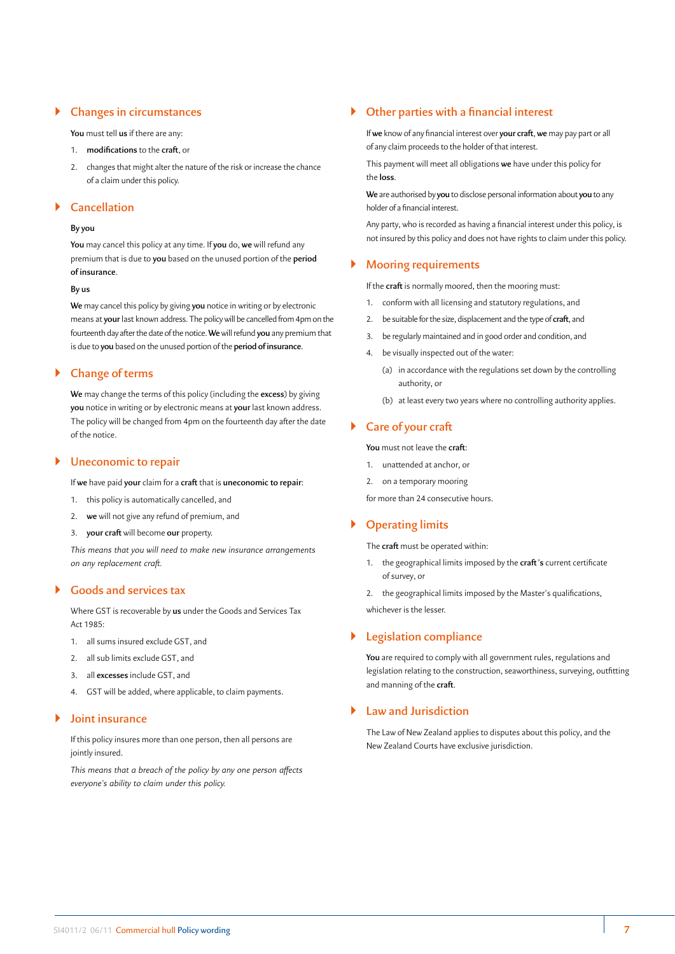# ` **Changes in circumstances**

**You** must tell **us** if there are any:

- 1. **modifications** to the **craft**, or
- 2. changes that might alter the nature of the risk or increase the chance of a claim under this policy.

# ` **Cancellation**

#### **By you**

**You** may cancel this policy at any time. If **you** do, **we** will refund any premium that is due to **you** based on the unused portion of the **period of insurance**.

#### **By us**

**We** may cancel this policy by giving **you** notice in writing or by electronic means at **your** last known address. The policy will be cancelled from 4pm on the fourteenth day after the date of the notice. **We** will refund **you** any premium that is due to **you** based on the unused portion of the **period of insurance**.

# ` **Change of terms**

**We** may change the terms of this policy (including the **excess**) by giving **you** notice in writing or by electronic means at **your** last known address. The policy will be changed from 4pm on the fourteenth day after the date of the notice.

### ` **Uneconomic to repair**

If **we** have paid **your** claim for a **craft** that is **uneconomic to repair**:

- 1. this policy is automatically cancelled, and
- 2. **we** will not give any refund of premium, and
- 3. **your craft** will become **our** property.

*This means that you will need to make new insurance arrangements on any replacement craft.*

# ` **Goods and services tax**

Where GST is recoverable by **us** under the Goods and Services Tax Act 1985:

- 1. all sums insured exclude GST, and
- 2. all sub limits exclude GST, and
- 3. all **excesses** include GST, and
- 4. GST will be added, where applicable, to claim payments.

# ` **Joint insurance**

If this policy insures more than one person, then all persons are jointly insured.

*This means that a breach of the policy by any one person affects everyone's ability to claim under this policy.*

# ` **Other parties with a financial interest**

If **we** know of any financial interest over **your craft**, **we** may pay part or all of any claim proceeds to the holder of that interest.

This payment will meet all obligations **we** have under this policy for the **loss**.

**We** are authorised by **you** to disclose personal information about **you** to any holder of a financial interest.

Any party, who is recorded as having a financial interest under this policy, is not insured by this policy and does not have rights to claim under this policy.

### ` **Mooring requirements**

If the **craft** is normally moored, then the mooring must:

- 1. conform with all licensing and statutory regulations, and
- 2. be suitable for the size, displacement and the type of **craft**, and
- 3. be regularly maintained and in good order and condition, and
- 4. be visually inspected out of the water:
	- (a) in accordance with the regulations set down by the controlling authority, or
	- (b) at least every two years where no controlling authority applies.

# ` **Care of your craft**

**You** must not leave the **craft**:

- 1. unattended at anchor, or
- 2. on a temporary mooring

for more than 24 consecutive hours.

# ` **Operating limits**

The **craft** must be operated within:

1. the geographical limits imposed by the **craft 's** current certificate of survey, or

2. the geographical limits imposed by the Master's qualifications, whichever is the lesser.

# ` **Legislation compliance**

**You** are required to comply with all government rules, regulations and legislation relating to the construction, seaworthiness, surveying, outfitting and manning of the **craft**.

### ` **Law and Jurisdiction**

The Law of New Zealand applies to disputes about this policy, and the New Zealand Courts have exclusive jurisdiction.